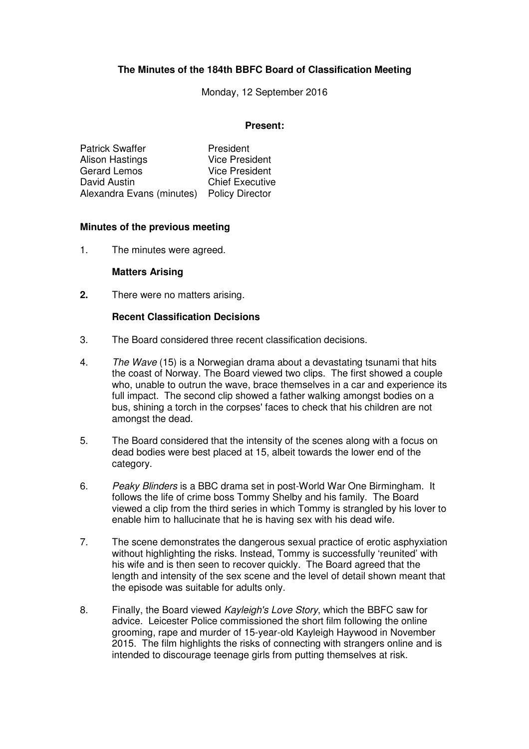# **The Minutes of the 184th BBFC Board of Classification Meeting**

Monday, 12 September 2016

#### **Present:**

| <b>Patrick Swaffer</b>    | President              |
|---------------------------|------------------------|
| Alison Hastings           | <b>Vice President</b>  |
| <b>Gerard Lemos</b>       | <b>Vice President</b>  |
| David Austin              | <b>Chief Executive</b> |
| Alexandra Evans (minutes) | <b>Policy Director</b> |

#### **Minutes of the previous meeting**

1. The minutes were agreed.

#### **Matters Arising**

**2.** There were no matters arising.

#### **Recent Classification Decisions**

- 3. The Board considered three recent classification decisions.
- 4. The Wave (15) is a Norwegian drama about a devastating tsunami that hits the coast of Norway. The Board viewed two clips. The first showed a couple who, unable to outrun the wave, brace themselves in a car and experience its full impact. The second clip showed a father walking amongst bodies on a bus, shining a torch in the corpses' faces to check that his children are not amongst the dead.
- 5. The Board considered that the intensity of the scenes along with a focus on dead bodies were best placed at 15, albeit towards the lower end of the category.
- 6. Peaky Blinders is a BBC drama set in post-World War One Birmingham. It follows the life of crime boss Tommy Shelby and his family. The Board viewed a clip from the third series in which Tommy is strangled by his lover to enable him to hallucinate that he is having sex with his dead wife.
- 7. The scene demonstrates the dangerous sexual practice of erotic asphyxiation without highlighting the risks. Instead, Tommy is successfully 'reunited' with his wife and is then seen to recover quickly. The Board agreed that the length and intensity of the sex scene and the level of detail shown meant that the episode was suitable for adults only.
- 8. Finally, the Board viewed Kayleigh's Love Story, which the BBFC saw for advice. Leicester Police commissioned the short film following the online grooming, rape and murder of 15-year-old Kayleigh Haywood in November 2015. The film highlights the risks of connecting with strangers online and is intended to discourage teenage girls from putting themselves at risk.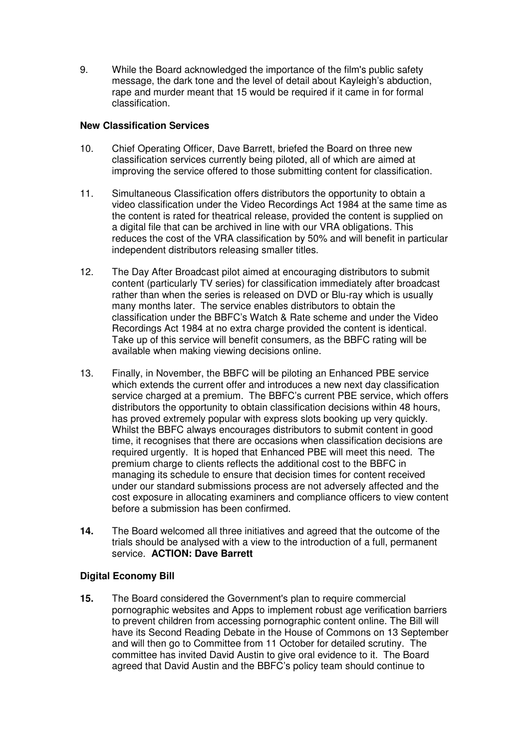9. While the Board acknowledged the importance of the film's public safety message, the dark tone and the level of detail about Kayleigh's abduction, rape and murder meant that 15 would be required if it came in for formal classification.

### **New Classification Services**

- 10. Chief Operating Officer, Dave Barrett, briefed the Board on three new classification services currently being piloted, all of which are aimed at improving the service offered to those submitting content for classification.
- 11. Simultaneous Classification offers distributors the opportunity to obtain a video classification under the Video Recordings Act 1984 at the same time as the content is rated for theatrical release, provided the content is supplied on a digital file that can be archived in line with our VRA obligations. This reduces the cost of the VRA classification by 50% and will benefit in particular independent distributors releasing smaller titles.
- 12. The Day After Broadcast pilot aimed at encouraging distributors to submit content (particularly TV series) for classification immediately after broadcast rather than when the series is released on DVD or Blu-ray which is usually many months later. The service enables distributors to obtain the classification under the BBFC's Watch & Rate scheme and under the Video Recordings Act 1984 at no extra charge provided the content is identical. Take up of this service will benefit consumers, as the BBFC rating will be available when making viewing decisions online.
- 13. Finally, in November, the BBFC will be piloting an Enhanced PBE service which extends the current offer and introduces a new next day classification service charged at a premium. The BBFC's current PBE service, which offers distributors the opportunity to obtain classification decisions within 48 hours, has proved extremely popular with express slots booking up very quickly. Whilst the BBFC always encourages distributors to submit content in good time, it recognises that there are occasions when classification decisions are required urgently. It is hoped that Enhanced PBE will meet this need. The premium charge to clients reflects the additional cost to the BBFC in managing its schedule to ensure that decision times for content received under our standard submissions process are not adversely affected and the cost exposure in allocating examiners and compliance officers to view content before a submission has been confirmed.
- **14.** The Board welcomed all three initiatives and agreed that the outcome of the trials should be analysed with a view to the introduction of a full, permanent service. **ACTION: Dave Barrett**

# **Digital Economy Bill**

**15.** The Board considered the Government's plan to require commercial pornographic websites and Apps to implement robust age verification barriers to prevent children from accessing pornographic content online. The Bill will have its Second Reading Debate in the House of Commons on 13 September and will then go to Committee from 11 October for detailed scrutiny. The committee has invited David Austin to give oral evidence to it. The Board agreed that David Austin and the BBFC's policy team should continue to